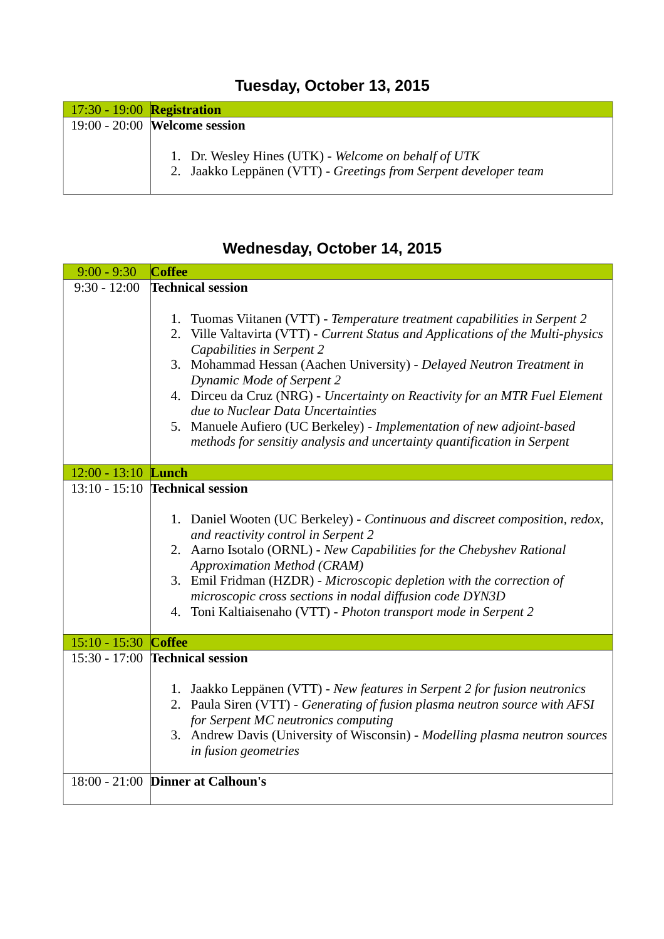## **Tuesday, October 13, 2015**

| 17:30 - 19:00 <b>Registration</b> |                                                                                                                          |
|-----------------------------------|--------------------------------------------------------------------------------------------------------------------------|
|                                   | 19:00 - 20:00 Welcome session                                                                                            |
|                                   | 1. Dr. Wesley Hines (UTK) - Welcome on behalf of UTK<br>2. Jaakko Leppänen (VTT) - Greetings from Serpent developer team |

## **Wednesday, October 14, 2015**

| $9:00 - 9:30$        | <b>Coffee</b>                                                                                                                                                  |
|----------------------|----------------------------------------------------------------------------------------------------------------------------------------------------------------|
| $9:30 - 12:00$       | <b>Technical session</b>                                                                                                                                       |
|                      | 1. Tuomas Viitanen (VTT) - Temperature treatment capabilities in Serpent 2<br>2. Ville Valtavirta (VTT) - Current Status and Applications of the Multi-physics |
|                      | Capabilities in Serpent 2                                                                                                                                      |
|                      | 3. Mohammad Hessan (Aachen University) - Delayed Neutron Treatment in<br><b>Dynamic Mode of Serpent 2</b>                                                      |
|                      | 4. Dirceu da Cruz (NRG) - Uncertainty on Reactivity for an MTR Fuel Element                                                                                    |
|                      | due to Nuclear Data Uncertainties<br>5. Manuele Aufiero (UC Berkeley) - Implementation of new adjoint-based                                                    |
|                      | methods for sensitiy analysis and uncertainty quantification in Serpent                                                                                        |
| 12:00 - 13:10 Lunch  |                                                                                                                                                                |
|                      | 13:10 - 15:10 <b>Technical session</b>                                                                                                                         |
|                      | 1. Daniel Wooten (UC Berkeley) - Continuous and discreet composition, redox,                                                                                   |
|                      | and reactivity control in Serpent 2<br>2. Aarno Isotalo (ORNL) - New Capabilities for the Chebyshev Rational                                                   |
|                      | <b>Approximation Method (CRAM)</b>                                                                                                                             |
|                      | 3. Emil Fridman (HZDR) - Microscopic depletion with the correction of                                                                                          |
|                      | microscopic cross sections in nodal diffusion code DYN3D<br>4. Toni Kaltiaisenaho (VTT) - Photon transport mode in Serpent 2                                   |
|                      |                                                                                                                                                                |
| 15:10 - 15:30 Coffee |                                                                                                                                                                |
|                      | 15:30 - 17:00 <b>Technical session</b>                                                                                                                         |
|                      | 1. Jaakko Leppänen (VTT) - New features in Serpent 2 for fusion neutronics                                                                                     |
|                      | 2. Paula Siren (VTT) - Generating of fusion plasma neutron source with AFSI<br>for Serpent MC neutronics computing                                             |
|                      | 3. Andrew Davis (University of Wisconsin) - Modelling plasma neutron sources                                                                                   |
|                      | in fusion geometries                                                                                                                                           |
|                      | 18:00 - 21:00 Dinner at Calhoun's                                                                                                                              |
|                      |                                                                                                                                                                |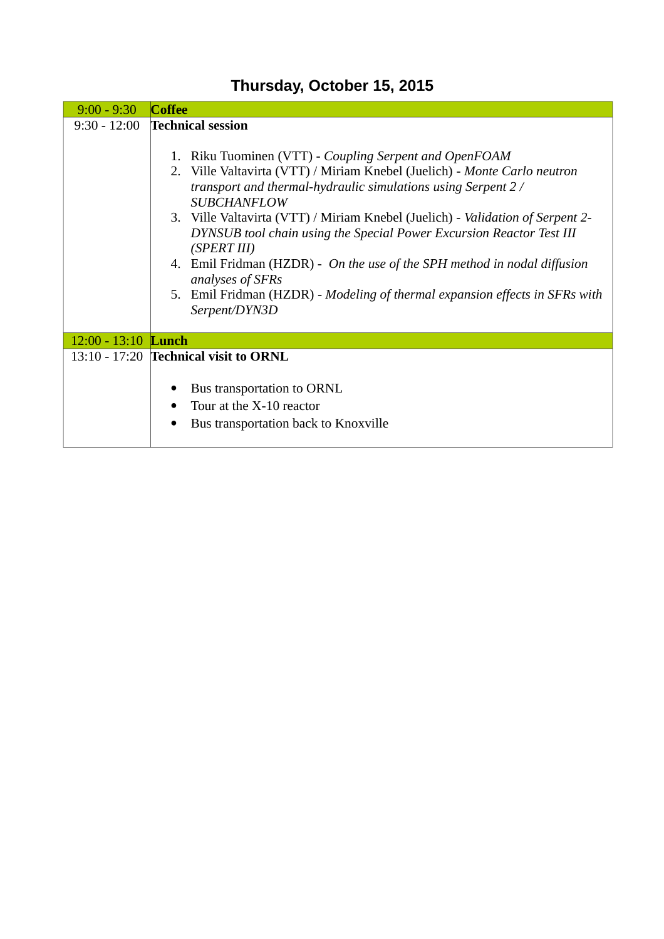| $9:00 - 9:30$       | Coffee                                                                                                                                                                                                                                                                                                                                                                                                                         |
|---------------------|--------------------------------------------------------------------------------------------------------------------------------------------------------------------------------------------------------------------------------------------------------------------------------------------------------------------------------------------------------------------------------------------------------------------------------|
| $9:30 - 12:00$      | <b>Technical session</b><br>1. Riku Tuominen (VTT) - Coupling Serpent and OpenFOAM<br>2. Ville Valtavirta (VTT) / Miriam Knebel (Juelich) - Monte Carlo neutron<br>transport and thermal-hydraulic simulations using Serpent 2/<br><b>SUBCHANFLOW</b><br>3. Ville Valtavirta (VTT) / Miriam Knebel (Juelich) - Validation of Serpent 2-<br>DYNSUB tool chain using the Special Power Excursion Reactor Test III<br>(SPERT III) |
|                     | 4. Emil Fridman (HZDR) - On the use of the SPH method in nodal diffusion<br>analyses of SFRs<br>5. Emil Fridman (HZDR) - Modeling of thermal expansion effects in SFRs with<br>Serpent/DYN3D                                                                                                                                                                                                                                   |
| 12:00 - 13:10 Lunch |                                                                                                                                                                                                                                                                                                                                                                                                                                |
|                     | 13:10 - 17:20 Technical visit to ORNL<br>Bus transportation to ORNL<br>Tour at the X-10 reactor<br>$\bullet$<br>Bus transportation back to Knoxville                                                                                                                                                                                                                                                                           |

## **Thursday, October 15, 2015**